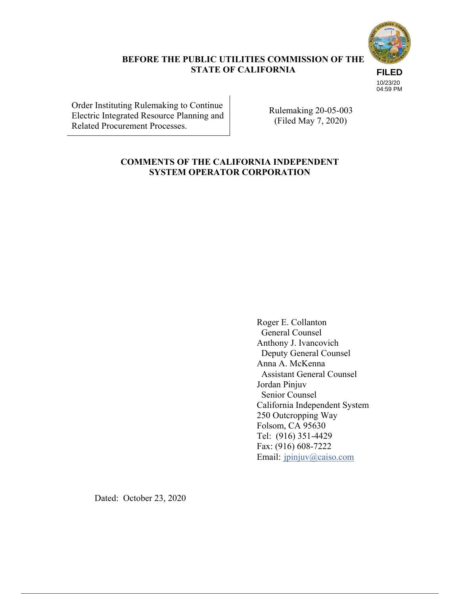

### **BEFORE THE PUBLIC UTILITIES COMMISSION OF THE STATE OF CALIFORNIA**

**FILED** 10/23/20 04:59 PM

Order Instituting Rulemaking to Continue Electric Integrated Resource Planning and Related Procurement Processes.

Rulemaking 20-05-003 (Filed May 7, 2020)

## **COMMENTS OF THE CALIFORNIA INDEPENDENT SYSTEM OPERATOR CORPORATION**

Roger E. Collanton General Counsel Anthony J. Ivancovich Deputy General Counsel Anna A. McKenna Assistant General Counsel Jordan Pinjuv Senior Counsel California Independent System 250 Outcropping Way Folsom, CA 95630 Tel: (916) 351-4429 Fax: (916) 608-7222 Email: jpinjuv@caiso.com

Dated: October 23, 2020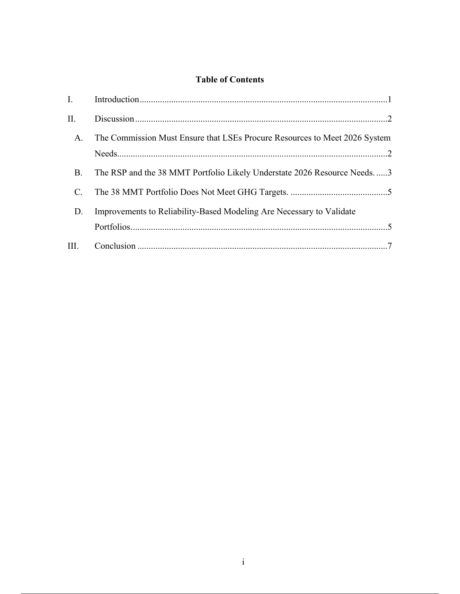## **Table of Contents**

| $\Pi$ .        |                                                                            |
|----------------|----------------------------------------------------------------------------|
| A.             | The Commission Must Ensure that LSEs Procure Resources to Meet 2026 System |
| <b>B.</b>      | The RSP and the 38 MMT Portfolio Likely Understate 2026 Resource Needs3    |
| $\mathbf{C}$ . |                                                                            |
| D.             | Improvements to Reliability-Based Modeling Are Necessary to Validate       |
|                |                                                                            |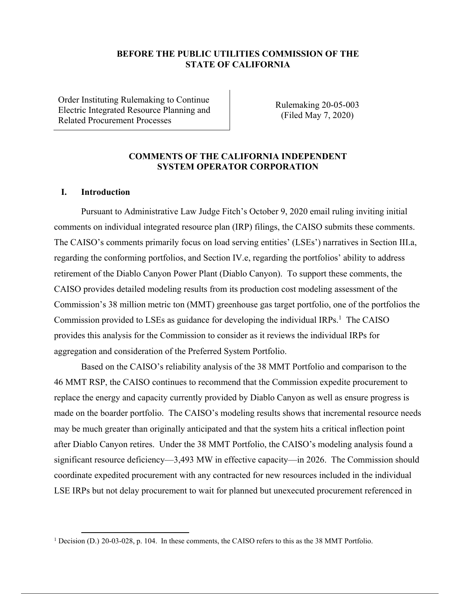### **BEFORE THE PUBLIC UTILITIES COMMISSION OF THE STATE OF CALIFORNIA**

Order Instituting Rulemaking to Continue Electric Integrated Resource Planning and Related Procurement Processes

Rulemaking 20-05-003 (Filed May 7, 2020)

### **COMMENTS OF THE CALIFORNIA INDEPENDENT SYSTEM OPERATOR CORPORATION**

#### **I. Introduction**

Pursuant to Administrative Law Judge Fitch's October 9, 2020 email ruling inviting initial comments on individual integrated resource plan (IRP) filings, the CAISO submits these comments. The CAISO's comments primarily focus on load serving entities' (LSEs') narratives in Section III.a, regarding the conforming portfolios, and Section IV.e, regarding the portfolios' ability to address retirement of the Diablo Canyon Power Plant (Diablo Canyon). To support these comments, the CAISO provides detailed modeling results from its production cost modeling assessment of the Commission's 38 million metric ton (MMT) greenhouse gas target portfolio, one of the portfolios the Commission provided to LSEs as guidance for developing the individual  $IRPs<sup>1</sup>$ . The CAISO provides this analysis for the Commission to consider as it reviews the individual IRPs for aggregation and consideration of the Preferred System Portfolio.

Based on the CAISO's reliability analysis of the 38 MMT Portfolio and comparison to the 46 MMT RSP, the CAISO continues to recommend that the Commission expedite procurement to replace the energy and capacity currently provided by Diablo Canyon as well as ensure progress is made on the boarder portfolio. The CAISO's modeling results shows that incremental resource needs may be much greater than originally anticipated and that the system hits a critical inflection point after Diablo Canyon retires. Under the 38 MMT Portfolio, the CAISO's modeling analysis found a significant resource deficiency—3,493 MW in effective capacity—in 2026. The Commission should coordinate expedited procurement with any contracted for new resources included in the individual LSE IRPs but not delay procurement to wait for planned but unexecuted procurement referenced in

<sup>&</sup>lt;sup>1</sup> Decision (D.) 20-03-028, p. 104. In these comments, the CAISO refers to this as the 38 MMT Portfolio.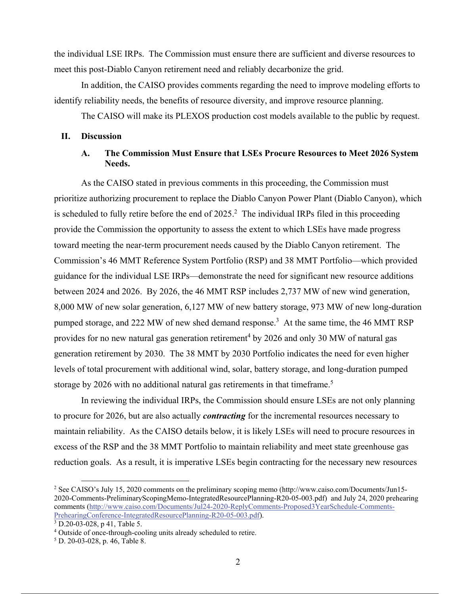the individual LSE IRPs. The Commission must ensure there are sufficient and diverse resources to meet this post-Diablo Canyon retirement need and reliably decarbonize the grid.

In addition, the CAISO provides comments regarding the need to improve modeling efforts to identify reliability needs, the benefits of resource diversity, and improve resource planning.

The CAISO will make its PLEXOS production cost models available to the public by request.

### **II. Discussion**

### **A. The Commission Must Ensure that LSEs Procure Resources to Meet 2026 System Needs.**

As the CAISO stated in previous comments in this proceeding, the Commission must prioritize authorizing procurement to replace the Diablo Canyon Power Plant (Diablo Canyon), which is scheduled to fully retire before the end of  $2025$ .<sup>2</sup> The individual IRPs filed in this proceeding provide the Commission the opportunity to assess the extent to which LSEs have made progress toward meeting the near-term procurement needs caused by the Diablo Canyon retirement. The Commission's 46 MMT Reference System Portfolio (RSP) and 38 MMT Portfolio—which provided guidance for the individual LSE IRPs—demonstrate the need for significant new resource additions between 2024 and 2026. By 2026, the 46 MMT RSP includes 2,737 MW of new wind generation, 8,000 MW of new solar generation, 6,127 MW of new battery storage, 973 MW of new long-duration pumped storage, and 222 MW of new shed demand response.<sup>3</sup> At the same time, the 46 MMT RSP provides for no new natural gas generation retirement<sup>4</sup> by 2026 and only 30 MW of natural gas generation retirement by 2030. The 38 MMT by 2030 Portfolio indicates the need for even higher levels of total procurement with additional wind, solar, battery storage, and long-duration pumped storage by 2026 with no additional natural gas retirements in that timeframe.<sup>5</sup>

In reviewing the individual IRPs, the Commission should ensure LSEs are not only planning to procure for 2026, but are also actually *contracting* for the incremental resources necessary to maintain reliability. As the CAISO details below, it is likely LSEs will need to procure resources in excess of the RSP and the 38 MMT Portfolio to maintain reliability and meet state greenhouse gas reduction goals. As a result, it is imperative LSEs begin contracting for the necessary new resources

<sup>&</sup>lt;sup>2</sup> See CAISO's July 15, 2020 comments on the preliminary scoping memo (http://www.caiso.com/Documents/Jun15-2020-Comments-PreliminaryScopingMemo-IntegratedResourcePlanning-R20-05-003.pdf) and July 24, 2020 prehearing comments (http://www.caiso.com/Documents/Jul24-2020-ReplyComments-Proposed3YearSchedule-Comments-PrehearingConference-IntegratedResourcePlanning-R20-05-003.pdf).

D.20-03-028, p 41, Table 5.

<sup>&</sup>lt;sup>4</sup> Outside of once-through-cooling units already scheduled to retire.

<sup>5</sup> D. 20-03-028, p. 46, Table 8.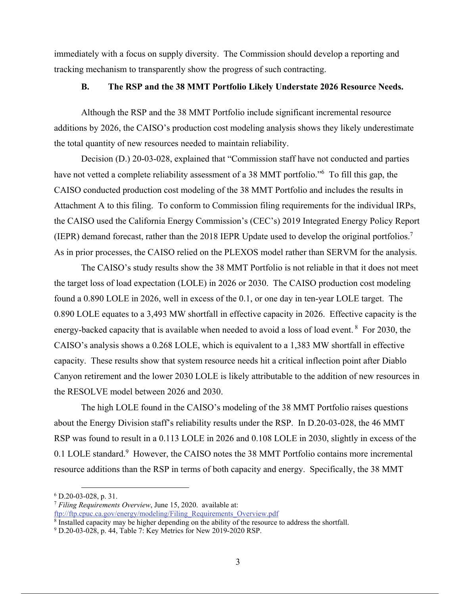immediately with a focus on supply diversity. The Commission should develop a reporting and tracking mechanism to transparently show the progress of such contracting.

## **B. The RSP and the 38 MMT Portfolio Likely Understate 2026 Resource Needs.**

Although the RSP and the 38 MMT Portfolio include significant incremental resource additions by 2026, the CAISO's production cost modeling analysis shows they likely underestimate the total quantity of new resources needed to maintain reliability.

Decision (D.) 20-03-028, explained that "Commission staff have not conducted and parties have not vetted a complete reliability assessment of a 38 MMT portfolio."<sup>6</sup> To fill this gap, the CAISO conducted production cost modeling of the 38 MMT Portfolio and includes the results in Attachment A to this filing. To conform to Commission filing requirements for the individual IRPs, the CAISO used the California Energy Commission's (CEC's) 2019 Integrated Energy Policy Report (IEPR) demand forecast, rather than the 2018 IEPR Update used to develop the original portfolios.<sup>7</sup> As in prior processes, the CAISO relied on the PLEXOS model rather than SERVM for the analysis.

The CAISO's study results show the 38 MMT Portfolio is not reliable in that it does not meet the target loss of load expectation (LOLE) in 2026 or 2030. The CAISO production cost modeling found a 0.890 LOLE in 2026, well in excess of the 0.1, or one day in ten-year LOLE target. The 0.890 LOLE equates to a 3,493 MW shortfall in effective capacity in 2026. Effective capacity is the energy-backed capacity that is available when needed to avoid a loss of load event.<sup>8</sup> For 2030, the CAISO's analysis shows a 0.268 LOLE, which is equivalent to a 1,383 MW shortfall in effective capacity. These results show that system resource needs hit a critical inflection point after Diablo Canyon retirement and the lower 2030 LOLE is likely attributable to the addition of new resources in the RESOLVE model between 2026 and 2030.

The high LOLE found in the CAISO's modeling of the 38 MMT Portfolio raises questions about the Energy Division staff's reliability results under the RSP. In D.20-03-028, the 46 MMT RSP was found to result in a 0.113 LOLE in 2026 and 0.108 LOLE in 2030, slightly in excess of the 0.1 LOLE standard.<sup>9</sup> However, the CAISO notes the 38 MMT Portfolio contains more incremental resource additions than the RSP in terms of both capacity and energy. Specifically, the 38 MMT

 $6$  D.20-03-028, p. 31.

<sup>7</sup> *Filing Requirements Overview*, June 15, 2020. available at: ftp://ftp.cpuc.ca.gov/energy/modeling/Filing\_Requirements\_Overview.pdf 8

<sup>&</sup>lt;sup>8</sup> Installed capacity may be higher depending on the ability of the resource to address the shortfall.

<sup>&</sup>lt;sup>9</sup> D.20-03-028, p. 44, Table 7: Key Metrics for New 2019-2020 RSP.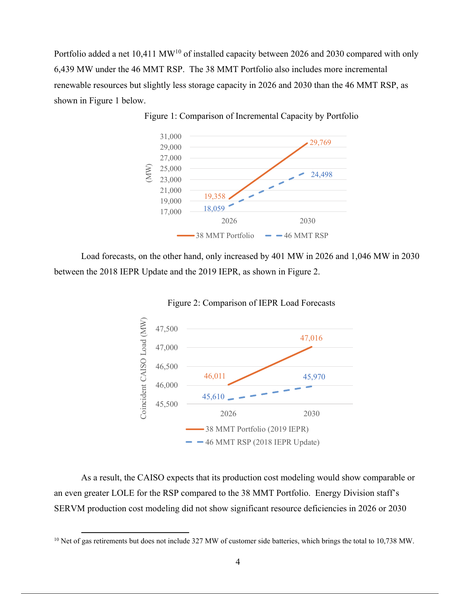Portfolio added a net 10,411 MW<sup>10</sup> of installed capacity between 2026 and 2030 compared with only 6,439 MW under the 46 MMT RSP. The 38 MMT Portfolio also includes more incremental renewable resources but slightly less storage capacity in 2026 and 2030 than the 46 MMT RSP, as shown in Figure 1 below.



Figure 1: Comparison of Incremental Capacity by Portfolio

Load forecasts, on the other hand, only increased by 401 MW in 2026 and 1,046 MW in 2030 between the 2018 IEPR Update and the 2019 IEPR, as shown in Figure 2.





As a result, the CAISO expects that its production cost modeling would show comparable or an even greater LOLE for the RSP compared to the 38 MMT Portfolio. Energy Division staff's SERVM production cost modeling did not show significant resource deficiencies in 2026 or 2030

<sup>&</sup>lt;sup>10</sup> Net of gas retirements but does not include 327 MW of customer side batteries, which brings the total to 10,738 MW.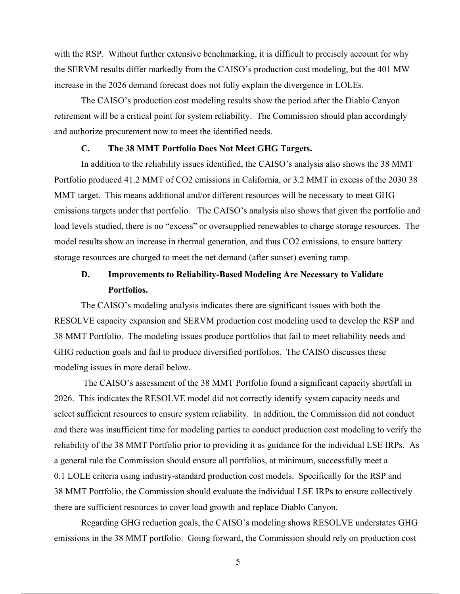with the RSP. Without further extensive benchmarking, it is difficult to precisely account for why the SERVM results differ markedly from the CAISO's production cost modeling, but the 401 MW increase in the 2026 demand forecast does not fully explain the divergence in LOLEs.

The CAISO's production cost modeling results show the period after the Diablo Canyon retirement will be a critical point for system reliability. The Commission should plan accordingly and authorize procurement now to meet the identified needs.

#### **C. The 38 MMT Portfolio Does Not Meet GHG Targets.**

In addition to the reliability issues identified, the CAISO's analysis also shows the 38 MMT Portfolio produced 41.2 MMT of CO2 emissions in California, or 3.2 MMT in excess of the 2030 38 MMT target. This means additional and/or different resources will be necessary to meet GHG emissions targets under that portfolio. The CAISO's analysis also shows that given the portfolio and load levels studied, there is no "excess" or oversupplied renewables to charge storage resources. The model results show an increase in thermal generation, and thus CO2 emissions, to ensure battery storage resources are charged to meet the net demand (after sunset) evening ramp.

# **D. Improvements to Reliability-Based Modeling Are Necessary to Validate Portfolios.**

The CAISO's modeling analysis indicates there are significant issues with both the RESOLVE capacity expansion and SERVM production cost modeling used to develop the RSP and 38 MMT Portfolio. The modeling issues produce portfolios that fail to meet reliability needs and GHG reduction goals and fail to produce diversified portfolios. The CAISO discusses these modeling issues in more detail below.

 The CAISO's assessment of the 38 MMT Portfolio found a significant capacity shortfall in 2026. This indicates the RESOLVE model did not correctly identify system capacity needs and select sufficient resources to ensure system reliability. In addition, the Commission did not conduct and there was insufficient time for modeling parties to conduct production cost modeling to verify the reliability of the 38 MMT Portfolio prior to providing it as guidance for the individual LSE IRPs. As a general rule the Commission should ensure all portfolios, at minimum, successfully meet a 0.1 LOLE criteria using industry-standard production cost models. Specifically for the RSP and 38 MMT Portfolio, the Commission should evaluate the individual LSE IRPs to ensure collectively there are sufficient resources to cover load growth and replace Diablo Canyon.

Regarding GHG reduction goals, the CAISO's modeling shows RESOLVE understates GHG emissions in the 38 MMT portfolio. Going forward, the Commission should rely on production cost

5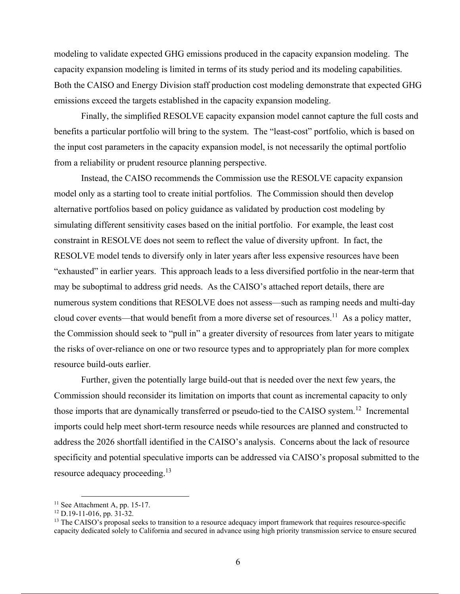modeling to validate expected GHG emissions produced in the capacity expansion modeling. The capacity expansion modeling is limited in terms of its study period and its modeling capabilities. Both the CAISO and Energy Division staff production cost modeling demonstrate that expected GHG emissions exceed the targets established in the capacity expansion modeling.

Finally, the simplified RESOLVE capacity expansion model cannot capture the full costs and benefits a particular portfolio will bring to the system. The "least-cost" portfolio, which is based on the input cost parameters in the capacity expansion model, is not necessarily the optimal portfolio from a reliability or prudent resource planning perspective.

Instead, the CAISO recommends the Commission use the RESOLVE capacity expansion model only as a starting tool to create initial portfolios. The Commission should then develop alternative portfolios based on policy guidance as validated by production cost modeling by simulating different sensitivity cases based on the initial portfolio. For example, the least cost constraint in RESOLVE does not seem to reflect the value of diversity upfront. In fact, the RESOLVE model tends to diversify only in later years after less expensive resources have been "exhausted" in earlier years. This approach leads to a less diversified portfolio in the near-term that may be suboptimal to address grid needs. As the CAISO's attached report details, there are numerous system conditions that RESOLVE does not assess—such as ramping needs and multi-day cloud cover events—that would benefit from a more diverse set of resources.<sup>11</sup> As a policy matter, the Commission should seek to "pull in" a greater diversity of resources from later years to mitigate the risks of over-reliance on one or two resource types and to appropriately plan for more complex resource build-outs earlier.

Further, given the potentially large build-out that is needed over the next few years, the Commission should reconsider its limitation on imports that count as incremental capacity to only those imports that are dynamically transferred or pseudo-tied to the CAISO system.<sup>12</sup> Incremental imports could help meet short-term resource needs while resources are planned and constructed to address the 2026 shortfall identified in the CAISO's analysis. Concerns about the lack of resource specificity and potential speculative imports can be addressed via CAISO's proposal submitted to the resource adequacy proceeding.<sup>13</sup>

 $11$  See Attachment A, pp. 15-17.

<sup>12</sup> D.19-11-016, pp. 31-32.

<sup>&</sup>lt;sup>13</sup> The CAISO's proposal seeks to transition to a resource adequacy import framework that requires resource-specific capacity dedicated solely to California and secured in advance using high priority transmission service to ensure secured